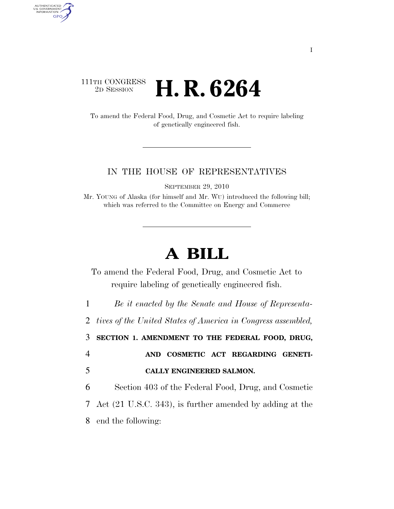## 111TH CONGRESS <sup>2D SESSION</sup> **H. R. 6264**

AUTHENTICATED<br>U.S. GOVERNMENT<br>INFORMATION GPO

> To amend the Federal Food, Drug, and Cosmetic Act to require labeling of genetically engineered fish.

## IN THE HOUSE OF REPRESENTATIVES

SEPTEMBER 29, 2010

Mr. YOUNG of Alaska (for himself and Mr. WU) introduced the following bill; which was referred to the Committee on Energy and Commerce

## **A BILL**

To amend the Federal Food, Drug, and Cosmetic Act to require labeling of genetically engineered fish.

1 *Be it enacted by the Senate and House of Representa-*

2 *tives of the United States of America in Congress assembled,* 

3 **SECTION 1. AMENDMENT TO THE FEDERAL FOOD, DRUG,** 

4 **AND COSMETIC ACT REGARDING GENETI-**5 **CALLY ENGINEERED SALMON.** 

6 Section 403 of the Federal Food, Drug, and Cosmetic 7 Act (21 U.S.C. 343), is further amended by adding at the 8 end the following: